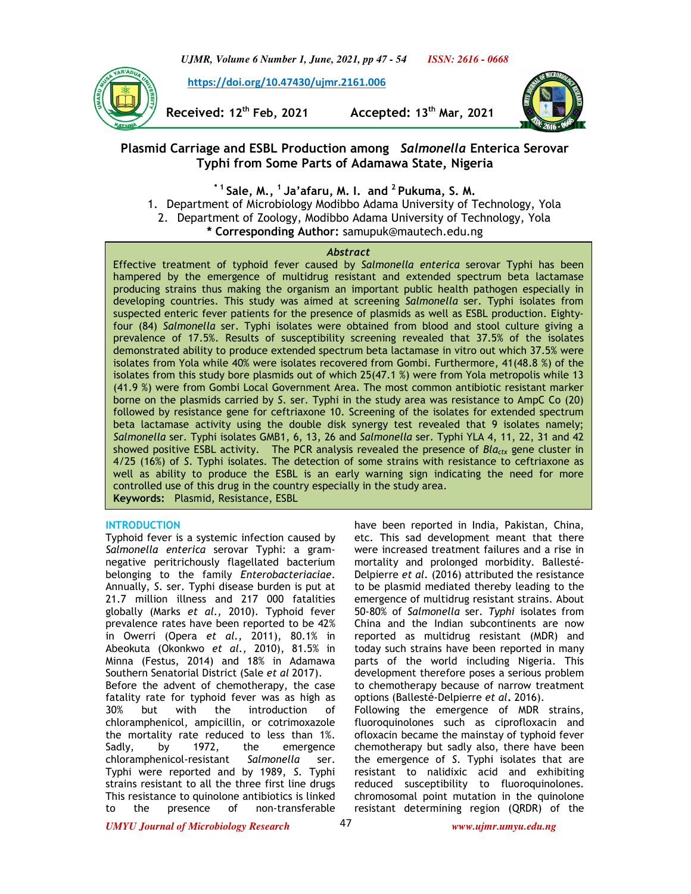*UJMR, Volume 6 Number 1, June, 2021, pp 47 - 54 ISSN: 2616 - 0668*



 **https://doi.org/10.47430/ujmr.2161.006**

**Received: 12th Feb, 2021 Accepted: 13th Mar, 2021**



# **Plasmid Carriage and ESBL Production among** *Salmonella* **Enterica Serovar Typhi from Some Parts of Adamawa State, Nigeria**

**\* 1 Sale, M., <sup>1</sup>Ja'afaru, M. I. and <sup>2</sup>Pukuma, S. M.**  1. Department of Microbiology Modibbo Adama University of Technology, Yola 2. Department of Zoology, Modibbo Adama University of Technology, Yola **\* Corresponding Author:** samupuk@mautech.edu.ng

### *Abstract*

Effective treatment of typhoid fever caused by *Salmonella enterica* serovar Typhi has been hampered by the emergence of multidrug resistant and extended spectrum beta lactamase producing strains thus making the organism an important public health pathogen especially in developing countries. This study was aimed at screening *Salmonella* ser. Typhi isolates from suspected enteric fever patients for the presence of plasmids as well as ESBL production. Eightyfour (84) *Salmonella* ser. Typhi isolates were obtained from blood and stool culture giving a prevalence of 17.5%. Results of susceptibility screening revealed that 37.5% of the isolates demonstrated ability to produce extended spectrum beta lactamase in vitro out which 37.5% were isolates from Yola while 40% were isolates recovered from Gombi. Furthermore, 41(48.8 %) of the isolates from this study bore plasmids out of which 25(47.1 %) were from Yola metropolis while 13 (41.9 %) were from Gombi Local Government Area. The most common antibiotic resistant marker borne on the plasmids carried by *S*. ser. Typhi in the study area was resistance to AmpC Co (20) followed by resistance gene for ceftriaxone 10. Screening of the isolates for extended spectrum beta lactamase activity using the double disk synergy test revealed that 9 isolates namely; *Salmonella* ser. Typhi isolates GMB1, 6, 13, 26 and *Salmonella* ser. Typhi YLA 4, 11, 22, 31 and 42 showed positive ESBL activity. The PCR analysis revealed the presence of *Blactx* gene cluster in 4/25 (16%) of *S*. Typhi isolates. The detection of some strains with resistance to ceftriaxone as well as ability to produce the ESBL is an early warning sign indicating the need for more controlled use of this drug in the country especially in the study area. **Keywords:** Plasmid, Resistance, ESBL

## **INTRODUCTION**

Typhoid fever is a systemic infection caused by *Salmonella enterica* serovar Typhi: a gramnegative peritrichously flagellated bacterium belonging to the family *Enterobacteriaciae*. Annually, *S.* ser. Typhi disease burden is put at 21.7 million illness and 217 000 fatalities globally (Marks *et al.,* 2010). Typhoid fever prevalence rates have been reported to be 42% in Owerri (Opera *et al.,* 2011), 80.1% in Abeokuta (Okonkwo *et al.,* 2010), 81.5% in Minna (Festus, 2014) and 18% in Adamawa Southern Senatorial District (Sale *et al* 2017).

Before the advent of chemotherapy, the case fatality rate for typhoid fever was as high as 30% but with the introduction of chloramphenicol, ampicillin, or cotrimoxazole the mortality rate reduced to less than 1%. Sadly, by 1972, the emergence chloramphenicol-resistant *Salmonella* ser. Typhi were reported and by 1989, *S*. Typhi strains resistant to all the three first line drugs This resistance to quinolone antibiotics is linked to the presence of non-transferable

have been reported in India, Pakistan, China, etc. This sad development meant that there were increased treatment failures and a rise in mortality and prolonged morbidity. Ballesté-Delpierre *et al.* (2016) attributed the resistance to be plasmid mediated thereby leading to the emergence of multidrug resistant strains. About 50-80% of *Salmonella* ser*. Typhi* isolates from China and the Indian subcontinents are now reported as multidrug resistant (MDR) and today such strains have been reported in many parts of the world including Nigeria. This development therefore poses a serious problem to chemotherapy because of narrow treatment options (Ballesté-Delpierre *et al***.** 2016). Following the emergence of MDR strains,

fluoroquinolones such as ciprofloxacin and ofloxacin became the mainstay of typhoid fever chemotherapy but sadly also, there have been the emergence of *S*. Typhi isolates that are resistant to nalidixic acid and exhibiting reduced susceptibility to fluoroquinolones. chromosomal point mutation in the quinolone resistant determining region (QRDR) of the

*UMYU Journal of Microbiology Research www.ujmr.umyu.edu.ng*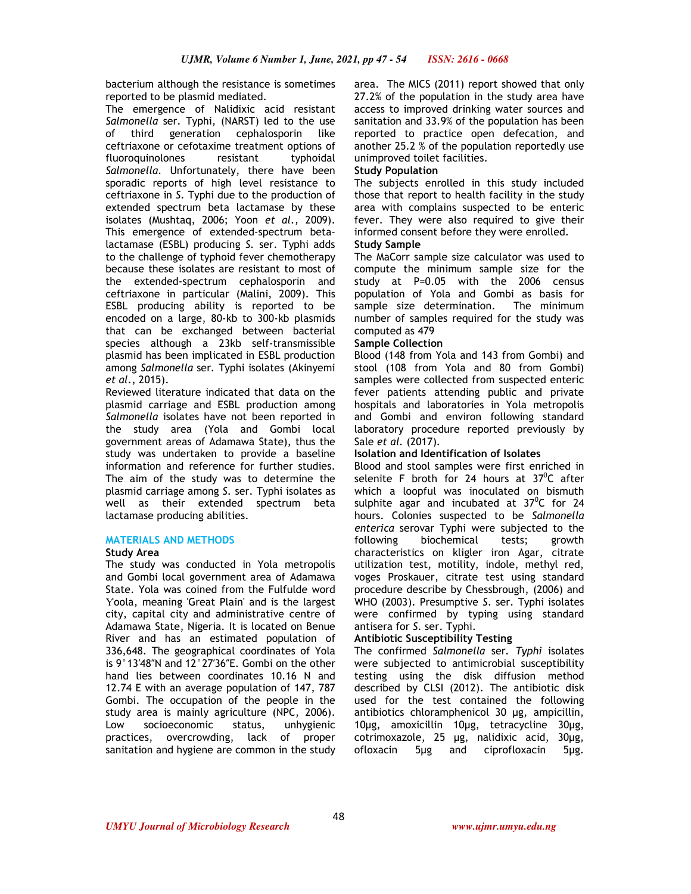bacterium although the resistance is sometimes reported to be plasmid mediated.

The emergence of Nalidixic acid resistant *Salmonella* ser. Typhi, (NARST) led to the use of third generation cephalosporin like ceftriaxone or cefotaxime treatment options of fluoroquinolones resistant typhoidal *Salmonella.* Unfortunately, there have been sporadic reports of high level resistance to ceftriaxone in *S.* Typhi due to the production of extended spectrum beta lactamase by these isolates (Mushtaq, 2006; Yoon *et al.,* 2009). This emergence of extended-spectrum betalactamase (ESBL) producing *S.* ser. Typhi adds to the challenge of typhoid fever chemotherapy because these isolates are resistant to most of the extended-spectrum cephalosporin and ceftriaxone in particular (Malini, 2009). This ESBL producing ability is reported to be encoded on a large, 80-kb to 300-kb plasmids that can be exchanged between bacterial species although a 23kb self-transmissible plasmid has been implicated in ESBL production among *Salmonella* ser*.* Typhi isolates (Akinyemi *et al.*, 2015).

Reviewed literature indicated that data on the plasmid carriage and ESBL production among *Salmonella* isolates have not been reported in the study area (Yola and Gombi local government areas of Adamawa State), thus the study was undertaken to provide a baseline information and reference for further studies. The aim of the study was to determine the plasmid carriage among *S.* ser. Typhi isolates as well as their extended spectrum beta lactamase producing abilities.

## **MATERIALS AND METHODS**

### **Study Area**

The study was conducted in Yola metropolis and Gombi local government area of Adamawa State. Yola was coined from the Fulfulde word Ƴoola, meaning 'Great Plain' and is the largest city, capital city and administrative centre of Adamawa State, Nigeria. It is located on Benue River and has an estimated population of 336,648. The geographical coordinates of Yola is 9°13′48″N and 12°27′36″E. Gombi on the other hand lies between coordinates 10.16 N and 12.74 E with an average population of 147, 787 Gombi. The occupation of the people in the study area is mainly agriculture (NPC, 2006). Low socioeconomic status, unhygienic practices, overcrowding, lack of proper sanitation and hygiene are common in the study

area. The MICS (2011) report showed that only 27.2% of the population in the study area have access to improved drinking water sources and sanitation and 33.9% of the population has been reported to practice open defecation, and another 25.2 % of the population reportedly use unimproved toilet facilities.

### **Study Population**

The subjects enrolled in this study included those that report to health facility in the study area with complains suspected to be enteric fever. They were also required to give their informed consent before they were enrolled.

## **Study Sample**

The MaCorr sample size calculator was used to compute the minimum sample size for the study at P=0.05 with the 2006 census population of Yola and Gombi as basis for sample size determination. The minimum number of samples required for the study was computed as 479

### **Sample Collection**

Blood (148 from Yola and 143 from Gombi) and stool (108 from Yola and 80 from Gombi) samples were collected from suspected enteric fever patients attending public and private hospitals and laboratories in Yola metropolis and Gombi and environ following standard laboratory procedure reported previously by Sale *et al.* (2017)*.* 

## **Isolation and Identification of Isolates**

Blood and stool samples were first enriched in selenite F broth for 24 hours at  $37^{\circ}$ C after which a loopful was inoculated on bismuth sulphite agar and incubated at  $37^{\circ}$ C for 24 hours. Colonies suspected to be *Salmonella enterica* serovar Typhi were subjected to the following biochemical tests; growth characteristics on kligler iron Agar, citrate utilization test, motility, indole, methyl red, voges Proskauer, citrate test using standard procedure describe by Chessbrough, (2006) and WHO (2003). Presumptive *S*. ser. Typhi isolates were confirmed by typing using standard antisera for *S.* ser. Typhi.

## **Antibiotic Susceptibility Testing**

The confirmed *Salmonella* ser*. Typhi* isolates were subjected to antimicrobial susceptibility testing using the disk diffusion method described by CLSI (2012). The antibiotic disk used for the test contained the following antibiotics chloramphenicol 30 µg, ampicillin, 10µg, amoxicillin 10µg, tetracycline 30µg, cotrimoxazole, 25 µg, nalidixic acid, 30µg, ofloxacin 5µg and ciprofloxacin 5µg.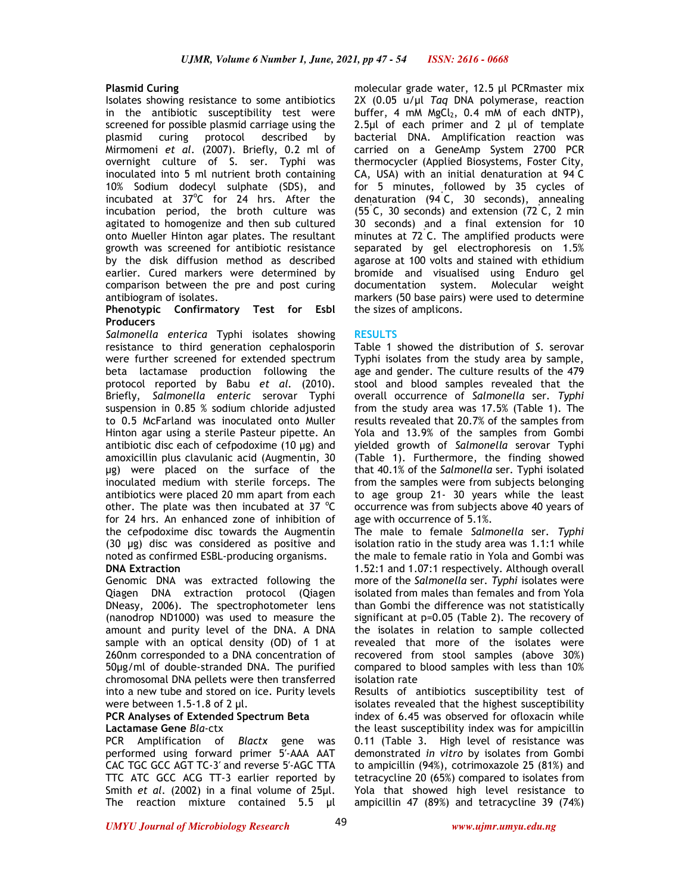## **Plasmid Curing**

Isolates showing resistance to some antibiotics in the antibiotic susceptibility test were screened for possible plasmid carriage using the plasmid curing protocol described by Mirmomeni *et al.* (2007). Briefly, 0.2 ml of overnight culture of S. ser. Typhi was inoculated into 5 ml nutrient broth containing 10% Sodium dodecyl sulphate (SDS), and incubated at  $37^{\circ}$ C for 24 hrs. After the incubation period, the broth culture was agitated to homogenize and then sub cultured onto Mueller Hinton agar plates. The resultant growth was screened for antibiotic resistance by the disk diffusion method as described earlier. Cured markers were determined by comparison between the pre and post curing antibiogram of isolates.

## **Phenotypic Confirmatory Test for Esbl Producers**

*Salmonella enterica* Typhi isolates showing resistance to third generation cephalosporin were further screened for extended spectrum beta lactamase production following the protocol reported by Babu *et al.* (2010). Briefly, *Salmonella enteric* serovar Typhi suspension in 0.85 % sodium chloride adjusted to 0.5 McFarland was inoculated onto Muller Hinton agar using a sterile Pasteur pipette. An antibiotic disc each of cefpodoxime (10 µg) and amoxicillin plus clavulanic acid (Augmentin, 30 µg) were placed on the surface of the inoculated medium with sterile forceps. The antibiotics were placed 20 mm apart from each other. The plate was then incubated at 37  $^{\circ}$ C for 24 hrs. An enhanced zone of inhibition of the cefpodoxime disc towards the Augmentin (30 µg) disc was considered as positive and noted as confirmed ESBL-producing organisms. **DNA Extraction** 

Genomic DNA was extracted following the Qiagen DNA extraction protocol (Qiagen DNeasy, 2006). The spectrophotometer lens (nanodrop ND1000) was used to measure the amount and purity level of the DNA. A DNA sample with an optical density (OD) of 1 at 260nm corresponded to a DNA concentration of 50µg/ml of double-stranded DNA. The purified chromosomal DNA pellets were then transferred into a new tube and stored on ice. Purity levels were between 1.5-1.8 of 2 µl.

### **PCR Analyses of Extended Spectrum Beta Lactamase Gene** *Bla*-ctx

PCR Amplification of *Blactx* gene was performed using forward primer 5′-AAA AAT CAC TGC GCC AGT TC-3′ and reverse 5′-AGC TTA TTC ATC GCC ACG TT-3 earlier reported by Smith *et al.* (2002) in a final volume of 25µl. The reaction mixture contained 5.5 µl

molecular grade water, 12.5 µl PCRmaster mix 2X (0.05 u/µl *Taq* DNA polymerase, reaction buffer, 4 mM  $MgCl<sub>2</sub>$ , 0.4 mM of each dNTP), 2.5µl of each primer and 2 µl of template bacterial DNA. Amplification reaction was carried on a GeneAmp System 2700 PCR thermocycler (Applied Biosystems, Foster City, CA, USA) with an initial denaturation at 94˚ C for 5 minutes, followed by 35 cycles of denaturation (94˚ C, 30 seconds), annealing (55˚ C, 30 seconds) and extension (72˚ C, 2 min 30 seconds) and a final extension for 10 minutes at 72˚ C. The amplified products were separated by gel electrophoresis on 1.5% agarose at 100 volts and stained with ethidium bromide and visualised using Enduro gel documentation system. Molecular weight markers (50 base pairs) were used to determine the sizes of amplicons.

## **RESULTS**

Table 1 showed the distribution of *S*. serovar Typhi isolates from the study area by sample, age and gender. The culture results of the 479 stool and blood samples revealed that the overall occurrence of *Salmonella* ser*. Typhi*  from the study area was 17.5% (Table 1). The results revealed that 20.7% of the samples from Yola and 13.9% of the samples from Gombi yielded growth of *Salmonella* serovar Typhi (Table 1). Furthermore, the finding showed that 40.1% of the *Salmonella* ser*.* Typhi isolated from the samples were from subjects belonging to age group 21- 30 years while the least occurrence was from subjects above 40 years of age with occurrence of 5.1%.

The male to female *Salmonella* ser*. Typhi*  isolation ratio in the study area was 1.1:1 while the male to female ratio in Yola and Gombi was 1.52:1 and 1.07:1 respectively. Although overall more of the *Salmonella* ser*. Typhi* isolates were isolated from males than females and from Yola than Gombi the difference was not statistically significant at p=0.05 (Table 2). The recovery of the isolates in relation to sample collected revealed that more of the isolates were recovered from stool samples (above 30%) compared to blood samples with less than 10% isolation rate

Results of antibiotics susceptibility test of isolates revealed that the highest susceptibility index of 6.45 was observed for ofloxacin while the least susceptibility index was for ampicillin 0.11 (Table 3. High level of resistance was demonstrated *in vitro* by isolates from Gombi to ampicillin (94%), cotrimoxazole 25 (81%) and tetracycline 20 (65%) compared to isolates from Yola that showed high level resistance to ampicillin 47 (89%) and tetracycline 39 (74%)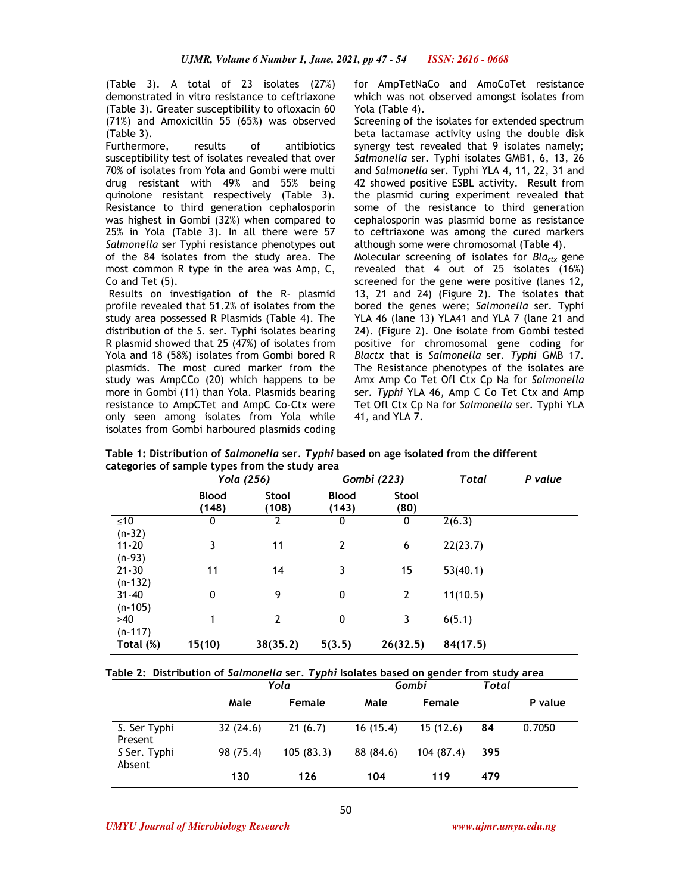(Table 3). A total of 23 isolates (27%) demonstrated in vitro resistance to ceftriaxone (Table 3). Greater susceptibility to ofloxacin 60 (71%) and Amoxicillin 55 (65%) was observed (Table 3).

Furthermore, results of antibiotics susceptibility test of isolates revealed that over 70% of isolates from Yola and Gombi were multi drug resistant with 49% and 55% being quinolone resistant respectively (Table 3). Resistance to third generation cephalosporin was highest in Gombi (32%) when compared to 25% in Yola (Table 3). In all there were 57 *Salmonella* ser Typhi resistance phenotypes out of the 84 isolates from the study area. The most common R type in the area was Amp, C, Co and Tet (5).

 Results on investigation of the R- plasmid profile revealed that 51.2% of isolates from the study area possessed R Plasmids (Table 4). The distribution of the *S.* ser. Typhi isolates bearing R plasmid showed that 25 (47%) of isolates from Yola and 18 (58%) isolates from Gombi bored R plasmids. The most cured marker from the study was AmpCCo (20) which happens to be more in Gombi (11) than Yola. Plasmids bearing resistance to AmpCTet and AmpC Co-Ctx were only seen among isolates from Yola while isolates from Gombi harboured plasmids coding

for AmpTetNaCo and AmoCoTet resistance which was not observed amongst isolates from Yola (Table 4).

Screening of the isolates for extended spectrum beta lactamase activity using the double disk synergy test revealed that 9 isolates namely; *Salmonella* ser*.* Typhi isolates GMB1, 6, 13, 26 and *Salmonella* ser*.* Typhi YLA 4, 11, 22, 31 and 42 showed positive ESBL activity. Result from the plasmid curing experiment revealed that some of the resistance to third generation cephalosporin was plasmid borne as resistance to ceftriaxone was among the cured markers although some were chromosomal (Table 4).

Molecular screening of isolates for *Blactx* gene revealed that 4 out of 25 isolates (16%) screened for the gene were positive (lanes 12, 13, 21 and 24) (Figure 2). The isolates that bored the genes were; *Salmonella* ser. Typhi YLA 46 (lane 13) YLA41 and YLA 7 (lane 21 and 24). (Figure 2). One isolate from Gombi tested positive for chromosomal gene coding for *Blactx* that is *Salmonella* ser*. Typhi* GMB 17. The Resistance phenotypes of the isolates are Amx Amp Co Tet Ofl Ctx Cp Na for *Salmonella*  ser*. Typhi* YLA 46, Amp C Co Tet Ctx and Amp Tet Ofl Ctx Cp Na for *Salmonella* ser*.* Typhi YLA 41, and YLA 7.

|           | Yola (256)            |                |                       | Gombi (223)    | Total    | P value |
|-----------|-----------------------|----------------|-----------------------|----------------|----------|---------|
|           | <b>Blood</b><br>(148) | Stool<br>(108) | <b>Blood</b><br>(143) | Stool<br>(80)  |          |         |
| ≤10       | 0                     | 2              | 0                     | 0              | 2(6.3)   |         |
| $(n-32)$  |                       |                |                       |                |          |         |
| $11 - 20$ | 3                     | 11             | $\overline{2}$        | 6              | 22(23.7) |         |
| $(n-93)$  |                       |                |                       |                |          |         |
| $21 - 30$ | 11                    | 14             | 3                     | 15             | 53(40.1) |         |
| $(n-132)$ |                       |                |                       |                |          |         |
| $31 - 40$ | 0                     | 9              | 0                     | $\overline{2}$ | 11(10.5) |         |
| $(n-105)$ |                       |                |                       |                |          |         |
| >40       | 1                     | $\overline{2}$ | 0                     | 3              | 6(5.1)   |         |
| $(n-117)$ |                       |                |                       |                |          |         |
| Total (%) | 15(10)                | 38(35.2)       | 5(3.5)                | 26(32.5)       | 84(17.5) |         |

**Table 1: Distribution of** *Salmonella* **ser***. Typhi* **based on age isolated from the different categories of sample types from the study area** 

**Table 2: Distribution of** *Salmonella* **ser***. Typhi* **Isolates based on gender from study area** 

|                         |           | Yola      |           | Gombi      | Total |         |
|-------------------------|-----------|-----------|-----------|------------|-------|---------|
|                         | Male      | Female    | Male      | Female     |       | P value |
| S. Ser Typhi<br>Present | 32(24.6)  | 21(6.7)   | 16(15.4)  | 15(12.6)   | 84    | 0.7050  |
| S Ser. Typhi<br>Absent  | 98 (75.4) | 105(83.3) | 88 (84.6) | 104 (87.4) | 395   |         |
|                         | 130       | 126       | 104       | 119        | 479   |         |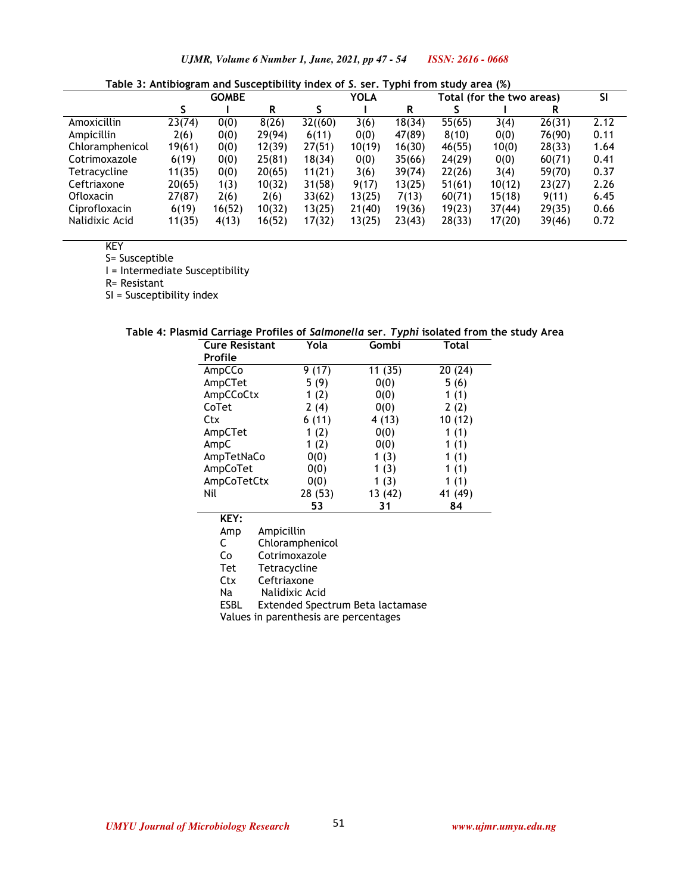|                 |        | <b>GOMBE</b> |        | <b>YOLA</b> |        |        | Total (for the two areas) |        |        | <b>SI</b> |
|-----------------|--------|--------------|--------|-------------|--------|--------|---------------------------|--------|--------|-----------|
|                 |        |              | R      |             |        | R      |                           |        | R      |           |
| Amoxicillin     | 23(74) | 0(0)         | 8(26)  | 32(60)      | 3(6)   | 18(34) | 55(65)                    | 3(4)   | 26(31) | 2.12      |
| Ampicillin      | 2(6)   | 0(0)         | 29(94) | 6(11)       | 0(0)   | 47(89) | 8(10)                     | 0(0)   | 76(90) | 0.11      |
| Chloramphenicol | 19(61) | 0(0)         | 12(39) | 27(51)      | 10(19) | 16(30) | 46(55)                    | 10(0)  | 28(33) | 1.64      |
| Cotrimoxazole   | 6(19)  | 0(0)         | 25(81) | 18(34)      | 0(0)   | 35(66) | 24(29)                    | 0(0)   | 60(71) | 0.41      |
| Tetracycline    | 11(35) | 0(0)         | 20(65) | 11(21)      | 3(6)   | 39(74) | 22(26)                    | 3(4)   | 59(70) | 0.37      |
| Ceftriaxone     | 20(65) | 1(3)         | 10(32) | 31(58)      | 9(17)  | 13(25) | 51(61)                    | 10(12) | 23(27) | 2.26      |
| Ofloxacin       | 27(87) | 2(6)         | 2(6)   | 33(62)      | 13(25) | 7(13)  | 60(71)                    | 15(18) | 9(11)  | 6.45      |
| Ciprofloxacin   | 6(19)  | 16(52)       | 10(32) | 13(25)      | 21(40) | 19(36) | 19(23)                    | 37(44) | 29(35) | 0.66      |
| Nalidixic Acid  | 11(35) | 4(13)        | 16(52) | 17(32)      | 13(25) | 23(43) | 28(33)                    | 17(20) | 39(46) | 0.72      |

**Table 3: Antibiogram and Susceptibility index of** *S.* **ser. Typhi from study area (%)** 

KEY

S= Susceptible

I = Intermediate Susceptibility

R= Resistant

SI = Susceptibility index

| <b>Cure Resistant</b> | Yola    | Gombi   | Total   |  |
|-----------------------|---------|---------|---------|--|
| <b>Profile</b>        |         |         |         |  |
| AmpCCo                | 9(17)   | 11(35)  | 20(24)  |  |
| AmpCTet               | 5(9)    | 0(0)    | 5(6)    |  |
| AmpCCoCtx             | 1(2)    | 0(0)    | 1 $(1)$ |  |
| CoTet                 | 2(4)    | 0(0)    | 2(2)    |  |
| Ctx                   | 6(11)   | 4 (13)  | 10(12)  |  |
| AmpCTet               | 1(2)    | 0(0)    | 1(1)    |  |
| AmpC                  | 1(2)    | 0(0)    | 1(1)    |  |
| AmpTetNaCo            | 0(0)    | 1 $(3)$ | 1(1)    |  |
| AmpCoTet              | 0(0)    | 1 $(3)$ | 1(1)    |  |
| AmpCoTetCtx           | 0(0)    | 1 $(3)$ | 1 $(1)$ |  |
| Nil                   | 28 (53) | 13 (42) | 41 (49) |  |
|                       | 53      | 31      | 84      |  |

|  |  |  |  |  | Table 4: Plasmid Carriage Profiles of Salmonella ser. Typhi isolated from the study Area |
|--|--|--|--|--|------------------------------------------------------------------------------------------|
|  |  |  |  |  |                                                                                          |

**KEY:** 

Amp Ampicillin<br>C Chloramph Chloramphenicol

Co Cotrimoxazole<br>Tet Tetracycline **Tetracycline** 

Ctx Ceftriaxone

Na Nalidixic Acid

ESBL Extended Spectrum Beta lactamase

Values in parenthesis are percentages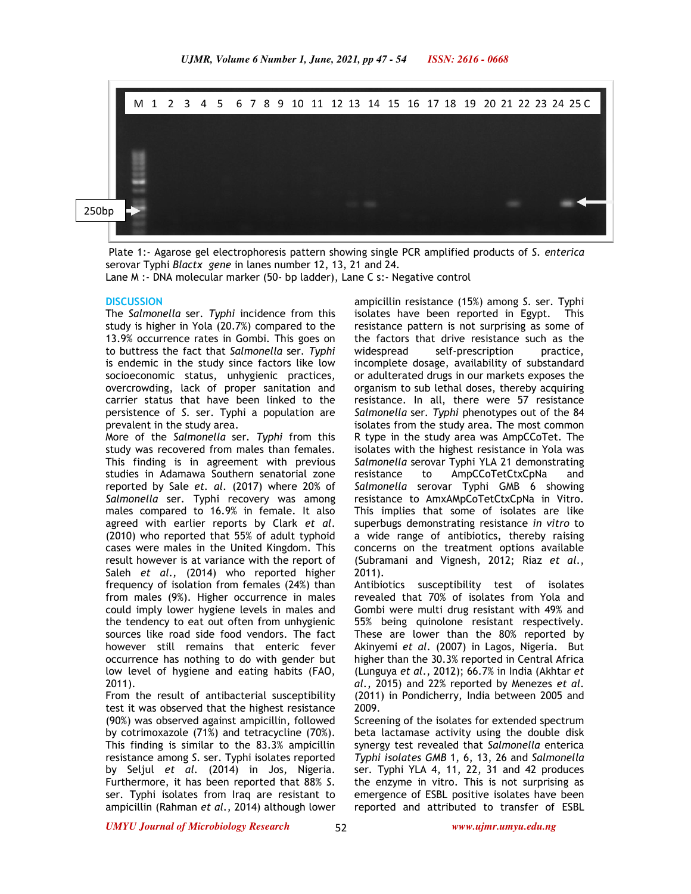

 Plate 1:- Agarose gel electrophoresis pattern showing single PCR amplified products of *S. enterica*  serovar Typhi *Blactx gene* in lanes number 12, 13, 21 and 24.

Lane M :- DNA molecular marker (50- bp ladder), Lane C s:- Negative control

### **DISCUSSION**

The *Salmonella* ser*. Typhi* incidence from this study is higher in Yola (20.7%) compared to the 13.9% occurrence rates in Gombi. This goes on to buttress the fact that *Salmonella* ser*. Typhi*  is endemic in the study since factors like low socioeconomic status, unhygienic practices, overcrowding, lack of proper sanitation and carrier status that have been linked to the persistence of *S*. ser. Typhi a population are prevalent in the study area.

More of the *Salmonella* ser*. Typhi* from this study was recovered from males than females. This finding is in agreement with previous studies in Adamawa Southern senatorial zone reported by Sale *et. al.* (2017) where 20% of *Salmonella* ser. Typhi recovery was among males compared to 16.9% in female. It also agreed with earlier reports by Clark *et al*. (2010) who reported that 55% of adult typhoid cases were males in the United Kingdom. This result however is at variance with the report of Saleh *et al.,* (2014) who reported higher frequency of isolation from females (24%) than from males (9%). Higher occurrence in males could imply lower hygiene levels in males and the tendency to eat out often from unhygienic sources like road side food vendors. The fact however still remains that enteric fever occurrence has nothing to do with gender but low level of hygiene and eating habits (FAO, 2011).

From the result of antibacterial susceptibility test it was observed that the highest resistance (90%) was observed against ampicillin, followed by cotrimoxazole (71%) and tetracycline (70%). This finding is similar to the 83.3% ampicillin resistance among *S*. ser. Typhi isolates reported by Seljul *et al.* (2014) in Jos, Nigeria. Furthermore, it has been reported that 88% *S*. ser. Typhi isolates from Iraq are resistant to ampicillin (Rahman *et al.,* 2014) although lower

ampicillin resistance (15%) among *S*. ser. Typhi isolates have been reported in Egypt. This resistance pattern is not surprising as some of the factors that drive resistance such as the widespread self-prescription practice, incomplete dosage, availability of substandard or adulterated drugs in our markets exposes the organism to sub lethal doses, thereby acquiring resistance. In all, there were 57 resistance *Salmonella* ser*. Typhi* phenotypes out of the 84 isolates from the study area. The most common R type in the study area was AmpCCoTet. The isolates with the highest resistance in Yola was *Salmonella* serovar Typhi YLA 21 demonstrating resistance to AmpCCoTetCtxCpNa and *Salmonella* serovar Typhi GMB 6 showing resistance to AmxAMpCoTetCtxCpNa in Vitro. This implies that some of isolates are like superbugs demonstrating resistance *in vitro* to a wide range of antibiotics, thereby raising concerns on the treatment options available (Subramani and Vignesh, 2012; Riaz *et al*., 2011).

Antibiotics susceptibility test of isolates revealed that 70% of isolates from Yola and Gombi were multi drug resistant with 49% and 55% being quinolone resistant respectively. These are lower than the 80% reported by Akinyemi *et al.* (2007) in Lagos, Nigeria. But higher than the 30.3% reported in Central Africa (Lunguya *et al*., 2012); 66.7% in India (Akhtar *et al*., 2015) and 22% reported by Menezes *et al*. (2011) in Pondicherry, India between 2005 and 2009.

Screening of the isolates for extended spectrum beta lactamase activity using the double disk synergy test revealed that *Salmonella* enterica *Typhi isolates GMB* 1, 6, 13, 26 and *Salmonella*  ser*.* Typhi YLA 4, 11, 22, 31 and 42 produces the enzyme in vitro. This is not surprising as emergence of ESBL positive isolates have been reported and attributed to transfer of ESBL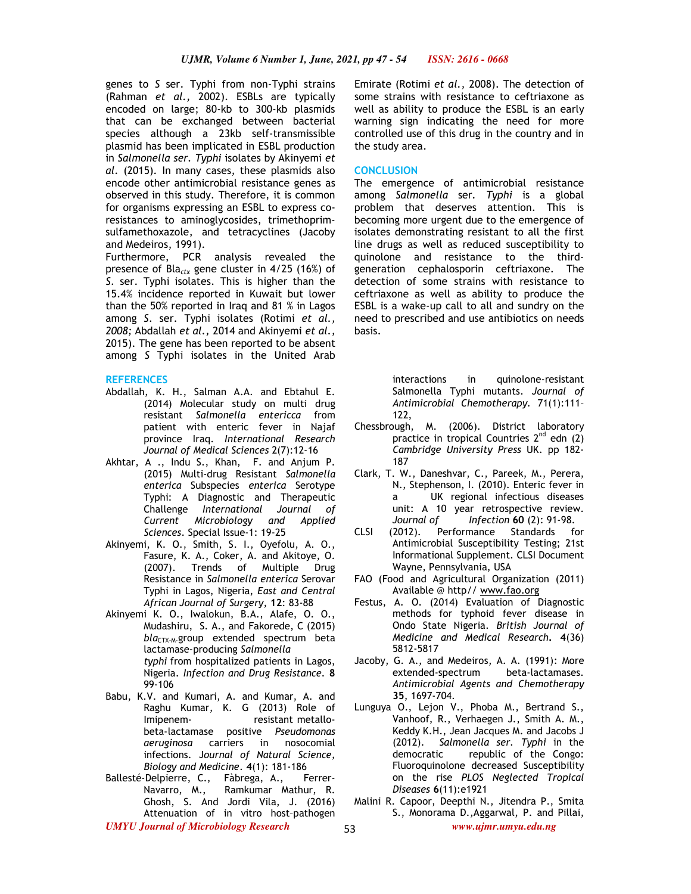genes to *S* ser. Typhi from non-Typhi strains (Rahman *et al.,* 2002). ESBLs are typically encoded on large; 80-kb to 300-kb plasmids that can be exchanged between bacterial species although a 23kb self-transmissible plasmid has been implicated in ESBL production in *Salmonella ser. Typhi* isolates by Akinyemi *et al.* (2015). In many cases, these plasmids also encode other antimicrobial resistance genes as observed in this study. Therefore, it is common for organisms expressing an ESBL to express coresistances to aminoglycosides, trimethoprimsulfamethoxazole, and tetracyclines (Jacoby and Medeiros, 1991).

Furthermore, PCR analysis revealed the presence of Bla*ctx* gene cluster in 4/25 (16%) of *S*. ser. Typhi isolates. This is higher than the 15.4% incidence reported in Kuwait but lower than the 50% reported in Iraq and 81 % in Lagos among *S*. ser. Typhi isolates (Rotimi *et al., 2008;* Abdallah *et al.,* 2014 and Akinyemi *et al.,*  2015). The gene has been reported to be absent among *S* Typhi isolates in the United Arab

#### **REFERENCES**

- Abdallah, K. H., Salman A.A. and Ebtahul E. (2014) Molecular study on multi drug resistant *Salmonella entericca* from patient with enteric fever in Najaf province Iraq. *International Research Journal of Medical Sciences* 2(7):12-16
- Akhtar, A ., Indu S., Khan, F. and Anjum P. (2015) Multi-drug Resistant *Salmonella enterica* Subspecies *enterica* Serotype Typhi: A Diagnostic and Therapeutic Challenge *International Journal of Current Microbiology and Applied Sciences*. Special Issue-1: 19-25
- Akinyemi, K. O., Smith, S. I., Oyefolu, A. O., Fasure, K. A., Coker, A. and Akitoye, O. (2007). Trends of Multiple Drug Resistance in *Salmonella enterica* Serovar Typhi in Lagos, Nigeria, *East and Central African Journal of Surgery*, **12**: 83-88
- Akinyemi K. O., Iwalokun, B.A., Alafe, O. O., Mudashiru, S. A., and Fakorede, C (2015) *bla<sub>CTX-M</sub>*-group extended spectrum beta lactamase-producing *Salmonella typhi* from hospitalized patients in Lagos, Nigeria. *Infection and Drug Resistance.* **8** 99-106
- Babu, K.V. and Kumari, A. and Kumar, A. and Raghu Kumar, K. G (2013) Role of Imipenem- resistant metallobeta-lactamase positive *Pseudomonas aeruginosa* carriers in nosocomial infections. J*ournal of Natural Science, Biology and Medicine*. **4**(1): 181-186
- Ballesté-Delpierre, C., Fàbrega, A., Ferrer-Navarro, M., Ramkumar Mathur, R. Ghosh, S. And Jordi Vila, J. (2016) Attenuation of in vitro host–pathogen

Emirate (Rotimi *et al.,* 2008). The detection of some strains with resistance to ceftriaxone as well as ability to produce the ESBL is an early warning sign indicating the need for more controlled use of this drug in the country and in the study area.

### **CONCLUSION**

The emergence of antimicrobial resistance among *Salmonella* ser*. Typhi* is a global problem that deserves attention. This is becoming more urgent due to the emergence of isolates demonstrating resistant to all the first line drugs as well as reduced susceptibility to quinolone and resistance to the thirdgeneration cephalosporin ceftriaxone. The detection of some strains with resistance to ceftriaxone as well as ability to produce the ESBL is a wake-up call to all and sundry on the need to prescribed and use antibiotics on needs basis.

> interactions in quinolone-resistant Salmonella Typhi mutants. *Journal of Antimicrobial Chemotherapy.* 71(1):111– 122,

- Chessbrough, M. (2006). District laboratory practice in tropical Countries  $2^{nd}$  edn (2) *Cambridge University Press* UK. pp 182- 187
- Clark, T. W., Daneshvar, C., Pareek, M., Perera, N., Stephenson, I. (2010). Enteric fever in a UK regional infectious diseases unit: A 10 year retrospective review.
- *Journal of Infection* **60** (2): 91-98. CLSI (2012). Performance Standards for Antimicrobial Susceptibility Testing; 21st Informational Supplement. CLSI Document Wayne, Pennsylvania, USA
- FAO (Food and Agricultural Organization (2011) Available @ http// www.fao.org
- Festus, A. O. (2014) Evaluation of Diagnostic methods for typhoid fever disease in Ondo State Nigeria. *British Journal of Medicine and Medical Research***. 4**(36) 5812-5817
- Jacoby, G. A., and Medeiros, A. A. (1991): More extended-spectrum beta-lactamases. *Antimicrobial Agents and Chemotherapy*  **35**, 1697-704.
- Lunguya O., Lejon V., Phoba M., Bertrand S., Vanhoof, R., Verhaegen J., Smith A. M., Keddy K.H., Jean Jacques M. and Jacobs J (2012). *Salmonella ser. Typhi* in the democratic republic of the Congo: Fluoroquinolone decreased Susceptibility on the rise *PLOS Neglected Tropical Diseases* **6**(11):e1921
- *UMYU Journal of Microbiology Research www.ujmr.umyu.edu.ng* Malini R. Capoor, Deepthi N., Jitendra P., Smita S., Monorama D.,Aggarwal, P. and Pillai,

53